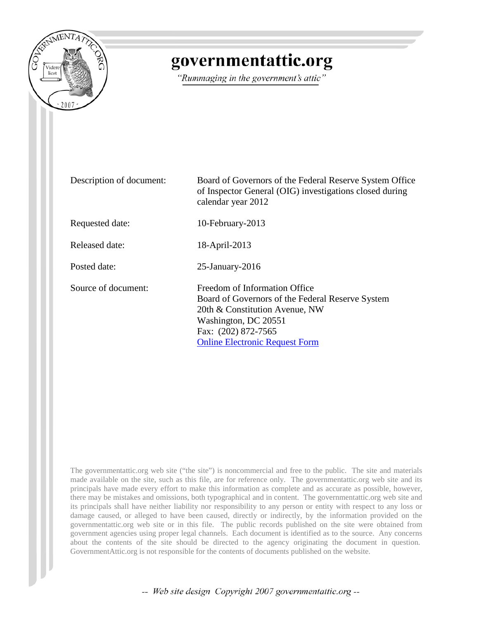

## governmentattic.org

"Rummaging in the government's attic"

| Description of document: | Board of Governors of the Federal Reserve System Office<br>of Inspector General (OIG) investigations closed during<br>calendar year 2012                                                                    |
|--------------------------|-------------------------------------------------------------------------------------------------------------------------------------------------------------------------------------------------------------|
| Requested date:          | 10-February-2013                                                                                                                                                                                            |
| Released date:           | 18-April-2013                                                                                                                                                                                               |
| Posted date:             | $25$ -January- $2016$                                                                                                                                                                                       |
| Source of document:      | Freedom of Information Office<br>Board of Governors of the Federal Reserve System<br>20th & Constitution Avenue, NW<br>Washington, DC 20551<br>Fax: (202) 872-7565<br><b>Online Electronic Request Form</b> |

The governmentattic.org web site ("the site") is noncommercial and free to the public. The site and materials made available on the site, such as this file, are for reference only. The governmentattic.org web site and its principals have made every effort to make this information as complete and as accurate as possible, however, there may be mistakes and omissions, both typographical and in content. The governmentattic.org web site and its principals shall have neither liability nor responsibility to any person or entity with respect to any loss or damage caused, or alleged to have been caused, directly or indirectly, by the information provided on the governmentattic.org web site or in this file. The public records published on the site were obtained from government agencies using proper legal channels. Each document is identified as to the source. Any concerns about the contents of the site should be directed to the agency originating the document in question. GovernmentAttic.org is not responsible for the contents of documents published on the website.

-- Web site design Copyright 2007 governmentattic.org --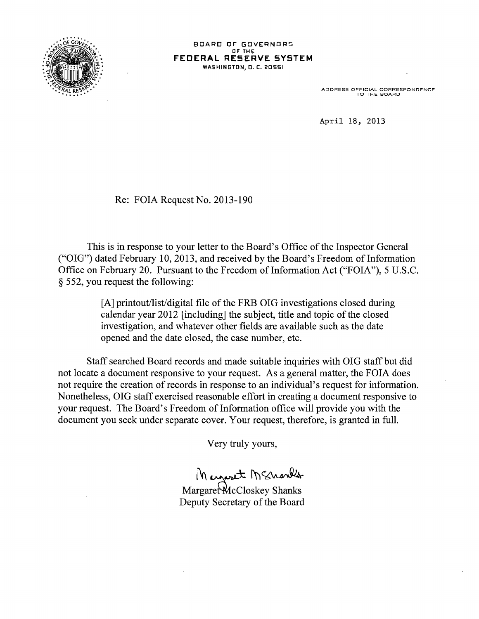

BOARD OF GOVERNORS Or THE **FECERAL RESERVE SYSTEM WASHINGTON, O. C. 20551** 

ADDRESS OFFICIAL CORRESPONDENCE TO THE BOARD

April 18, 2013

Re: FOIA Request No. 2013-190

This is in response to your letter to the Board's Office of the Inspector General ("OIG") dated February 10, 2013, and received by the Board's Freedom of Information Office on February 20. Pursuant to the Freedom of Information Act ("FOIA"), 5 U.S.C. § 552, you request the following:

> [A] printout/list/digital file of the FRB OIG investigations closed during calendar year 2012 [including] the subject, title and topic of the closed investigation, and whatever other fields are available such as the date opened and the date closed, the case number, etc.

Staff searched Board records and made suitable inquiries with OIG staff but did not locate a document responsive to your request. As a general matter, the FOIA does not require the creation of records in response to an individual's request for information. Nonetheless, OIG staff exercised reasonable effort in creating a document responsive to your request. The Board's Freedom of Information office will provide you with the document you seek under separate cover. Your request, therefore, is granted in full.

Very truly yours,

1 Margaret M Shanks

Deputy Secretary of the Board